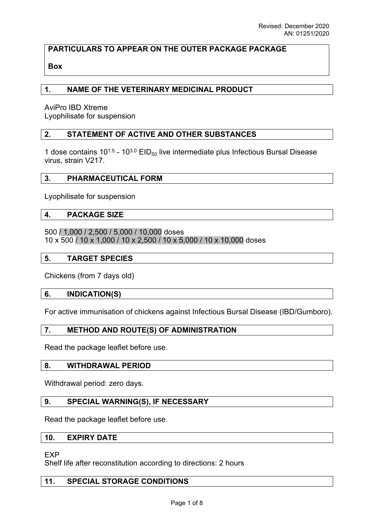# **PARTICULARS TO APPEAR ON THE OUTER PACKAGE PACKAGE**

# **Box**

## **1. NAME OF THE VETERINARY MEDICINAL PRODUCT**

AviPro IBD Xtreme Lyophilisate for suspension

## **2. STATEMENT OF ACTIVE AND OTHER SUBSTANCES**

1 dose contains  $10^{1.5}$  -  $10^{3.0}$  EID<sub>50</sub> live intermediate plus Infectious Bursal Disease virus, strain V217.

#### **3. PHARMACEUTICAL FORM**

Lyophilisate for suspension

#### **4. PACKAGE SIZE**

500 / 1,000 / 2,500 / 5,000 / 10,000 doses 10 x 500 / 10 x 1,000 / 10 x 2,500 / 10 x 5,000 / 10 x 10,000 doses

#### **5. TARGET SPECIES**

Chickens (from 7 days old)

#### **6. INDICATION(S)**

For active immunisation of chickens against Infectious Bursal Disease (IBD/Gumboro).

#### **7. METHOD AND ROUTE(S) OF ADMINISTRATION**

Read the package leaflet before use.

#### **8. WITHDRAWAL PERIOD**

Withdrawal period: zero days.

## **9. SPECIAL WARNING(S), IF NECESSARY**

Read the package leaflet before use.

#### **10. EXPIRY DATE**

EXP

Shelf life after reconstitution according to directions: 2 hours

#### **11. SPECIAL STORAGE CONDITIONS**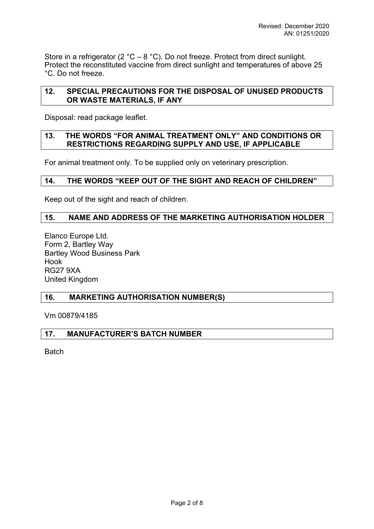Store in a refrigerator (2  $^{\circ}$ C – 8  $^{\circ}$ C). Do not freeze. Protect from direct sunlight. Protect the reconstituted vaccine from direct sunlight and temperatures of above 25 °C. Do not freeze.

# **12. SPECIAL PRECAUTIONS FOR THE DISPOSAL OF UNUSED PRODUCTS OR WASTE MATERIALS, IF ANY**

Disposal: read package leaflet.

### **13. THE WORDS "FOR ANIMAL TREATMENT ONLY" AND CONDITIONS OR RESTRICTIONS REGARDING SUPPLY AND USE, IF APPLICABLE**

For animal treatment only. To be supplied only on veterinary prescription.

# **14. THE WORDS "KEEP OUT OF THE SIGHT AND REACH OF CHILDREN"**

Keep out of the sight and reach of children.

# **15. NAME AND ADDRESS OF THE MARKETING AUTHORISATION HOLDER**

Elanco Europe Ltd. Form 2, Bartley Way Bartley Wood Business Park Hook RG27 9XA United Kingdom

# **16. MARKETING AUTHORISATION NUMBER(S)**

Vm 00879/4185

# **17. MANUFACTURER'S BATCH NUMBER**

**Batch**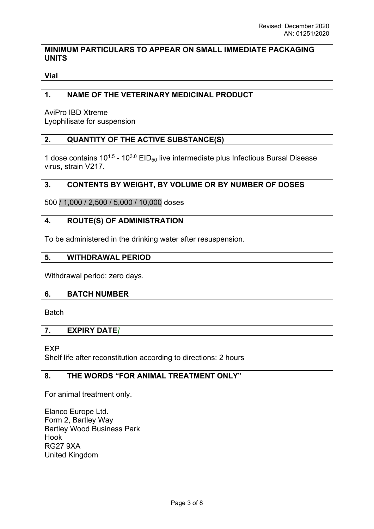# **MINIMUM PARTICULARS TO APPEAR ON SMALL IMMEDIATE PACKAGING UNITS**

**Vial**

# **1. NAME OF THE VETERINARY MEDICINAL PRODUCT**

AviPro IBD Xtreme Lyophilisate for suspension

# **2. QUANTITY OF THE ACTIVE SUBSTANCE(S)**

1 dose contains  $10^{1.5}$  -  $10^{3.0}$  EID<sub>50</sub> live intermediate plus Infectious Bursal Disease virus, strain V217.

# **3. CONTENTS BY WEIGHT, BY VOLUME OR BY NUMBER OF DOSES**

500 / 1,000 / 2,500 / 5,000 / 10,000 doses

## **4. ROUTE(S) OF ADMINISTRATION**

To be administered in the drinking water after resuspension.

#### **5. WITHDRAWAL PERIOD**

Withdrawal period: zero days.

#### **6. BATCH NUMBER**

**Batch** 

#### **7. EXPIRY DATE***]*

**FXP** 

Shelf life after reconstitution according to directions: 2 hours

## **8. THE WORDS "FOR ANIMAL TREATMENT ONLY"**

For animal treatment only.

Elanco Europe Ltd. Form 2, Bartley Way Bartley Wood Business Park Hook RG27 9XA United Kingdom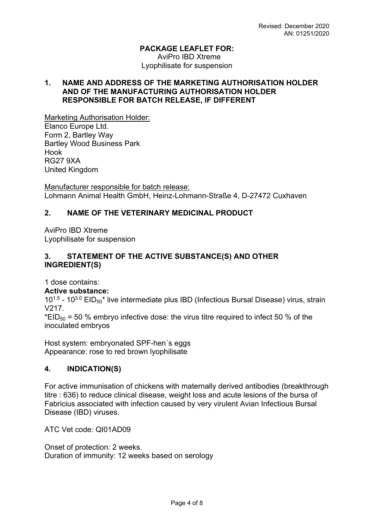# **PACKAGE LEAFLET FOR:**

AviPro IBD Xtreme Lyophilisate for suspension

## **1. NAME AND ADDRESS OF THE MARKETING AUTHORISATION HOLDER AND OF THE MANUFACTURING AUTHORISATION HOLDER RESPONSIBLE FOR BATCH RELEASE, IF DIFFERENT**

Marketing Authorisation Holder: Elanco Europe Ltd. Form 2, Bartley Way Bartley Wood Business Park Hook RG27 9XA United Kingdom

Manufacturer responsible for batch release: Lohmann Animal Health GmbH, Heinz-Lohmann-Straße 4, D-27472 Cuxhaven

# **2. NAME OF THE VETERINARY MEDICINAL PRODUCT**

AviPro IBD Xtreme Lyophilisate for suspension

# **3. STATEMENT OF THE ACTIVE SUBSTANCE(S) AND OTHER INGREDIENT(S)**

1 dose contains:

# **Active substance:**

10<sup>1.5</sup> - 10<sup>3.0</sup> EID<sub>50</sub><sup>\*</sup> live intermediate plus IBD (Infectious Bursal Disease) virus, strain V217.

 $*EID_{50} = 50$  % embrvo infective dose: the virus titre required to infect 50 % of the inoculated embryos

Host system: embryonated SPF-hen´s eggs Appearance: rose to red brown lyophilisate

# **4. INDICATION(S)**

For active immunisation of chickens with maternally derived antibodies (breakthrough titre : 636) to reduce clinical disease, weight loss and acute lesions of the bursa of Fabricius associated with infection caused by very virulent Avian Infectious Bursal Disease (IBD) viruses.

ATC Vet code: QI01AD09

Onset of protection: 2 weeks. Duration of immunity: 12 weeks based on serology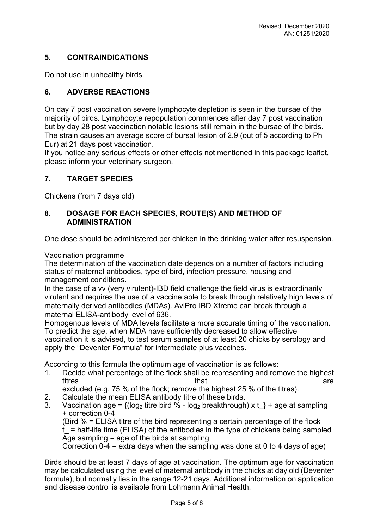# **5. CONTRAINDICATIONS**

Do not use in unhealthy birds.

# **6. ADVERSE REACTIONS**

On day 7 post vaccination severe lymphocyte depletion is seen in the bursae of the majority of birds. Lymphocyte repopulation commences after day 7 post vaccination but by day 28 post vaccination notable lesions still remain in the bursae of the birds. The strain causes an average score of bursal lesion of 2.9 (out of 5 according to Ph Eur) at 21 days post vaccination.

If you notice any serious effects or other effects not mentioned in this package leaflet, please inform your veterinary surgeon.

# **7. TARGET SPECIES**

Chickens (from 7 days old)

## **8. DOSAGE FOR EACH SPECIES, ROUTE(S) AND METHOD OF ADMINISTRATION**

One dose should be administered per chicken in the drinking water after resuspension.

#### Vaccination programme

The determination of the vaccination date depends on a number of factors including status of maternal antibodies, type of bird, infection pressure, housing and management conditions.

In the case of a vv (very virulent)-IBD field challenge the field virus is extraordinarily virulent and requires the use of a vaccine able to break through relatively high levels of maternally derived antibodies (MDAs). AviPro IBD Xtreme can break through a maternal ELISA-antibody level of 636.

Homogenous levels of MDA levels facilitate a more accurate timing of the vaccination. To predict the age, when MDA have sufficiently decreased to allow effective vaccination it is advised, to test serum samples of at least 20 chicks by serology and apply the "Deventer Formula" for intermediate plus vaccines.

According to this formula the optimum age of vaccination is as follows:

1. Decide what percentage of the flock shall be representing and remove the highest titres that that the structure of the structure of the structure of the structure of the structure of the structure

excluded (e.g. 75 % of the flock; remove the highest 25 % of the titres).

- 2. Calculate the mean ELISA antibody titre of these birds.
- 3. Vaccination age =  $\{(\text{log}_2 \text{ titre bird } \% \text{log}_2 \text{ breathrough}) \times t\}$  + age at sampling + correction 0-4

(Bird % = ELISA titre of the bird representing a certain percentage of the flock  $t =$  half-life time (ELISA) of the antibodies in the type of chickens being sampled Age sampling  $=$  age of the birds at sampling

Correction  $0-4$  = extra days when the sampling was done at 0 to 4 days of age)

Birds should be at least 7 days of age at vaccination. The optimum age for vaccination may be calculated using the level of maternal antibody in the chicks at day old (Deventer formula), but normally lies in the range 12-21 days. Additional information on application and disease control is available from Lohmann Animal Health.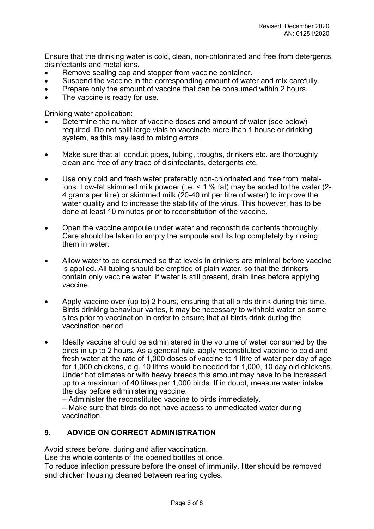Ensure that the drinking water is cold, clean, non-chlorinated and free from detergents, disinfectants and metal ions.

- Remove sealing cap and stopper from vaccine container.
- Suspend the vaccine in the corresponding amount of water and mix carefully.
- Prepare only the amount of vaccine that can be consumed within 2 hours.
- The vaccine is ready for use.

Drinking water application:

- Determine the number of vaccine doses and amount of water (see below) required. Do not split large vials to vaccinate more than 1 house or drinking system, as this may lead to mixing errors.
- Make sure that all conduit pipes, tubing, troughs, drinkers etc. are thoroughly clean and free of any trace of disinfectants, detergents etc.
- Use only cold and fresh water preferably non-chlorinated and free from metalions. Low-fat skimmed milk powder (i.e. < 1 % fat) may be added to the water (2- 4 grams per litre) or skimmed milk (20-40 ml per litre of water) to improve the water quality and to increase the stability of the virus. This however, has to be done at least 10 minutes prior to reconstitution of the vaccine.
- Open the vaccine ampoule under water and reconstitute contents thoroughly. Care should be taken to empty the ampoule and its top completely by rinsing them in water.
- Allow water to be consumed so that levels in drinkers are minimal before vaccine is applied. All tubing should be emptied of plain water, so that the drinkers contain only vaccine water. If water is still present, drain lines before applying vaccine.
- Apply vaccine over (up to) 2 hours, ensuring that all birds drink during this time. Birds drinking behaviour varies, it may be necessary to withhold water on some sites prior to vaccination in order to ensure that all birds drink during the vaccination period.
- Ideally vaccine should be administered in the volume of water consumed by the birds in up to 2 hours. As a general rule, apply reconstituted vaccine to cold and fresh water at the rate of 1,000 doses of vaccine to 1 litre of water per day of age for 1,000 chickens, e.g. 10 litres would be needed for 1,000, 10 day old chickens. Under hot climates or with heavy breeds this amount may have to be increased up to a maximum of 40 litres per 1,000 birds. If in doubt, measure water intake the day before administering vaccine.

– Administer the reconstituted vaccine to birds immediately.

– Make sure that birds do not have access to unmedicated water during vaccination.

# **9. ADVICE ON CORRECT ADMINISTRATION**

Avoid stress before, during and after vaccination.

Use the whole contents of the opened bottles at once.

To reduce infection pressure before the onset of immunity, litter should be removed and chicken housing cleaned between rearing cycles.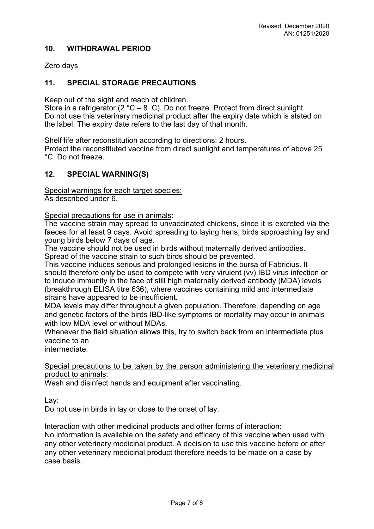## **10. WITHDRAWAL PERIOD**

Zero days

## **11. SPECIAL STORAGE PRECAUTIONS**

Keep out of the sight and reach of children.

Store in a refrigerator (2 °C – 8 C). Do not freeze. Protect from direct sunlight. Do not use this veterinary medicinal product after the expiry date which is stated on the label. The expiry date refers to the last day of that month.

Shelf life after reconstitution according to directions: 2 hours.

Protect the reconstituted vaccine from direct sunlight and temperatures of above 25 °C. Do not freeze.

#### **12. SPECIAL WARNING(S)**

Special warnings for each target species: As described under 6.

Special precautions for use in animals:

The vaccine strain may spread to unvaccinated chickens, since it is excreted via the faeces for at least 9 days. Avoid spreading to laying hens, birds approaching lay and young birds below 7 days of age.

The vaccine should not be used in birds without maternally derived antibodies. Spread of the vaccine strain to such birds should be prevented.

This vaccine induces serious and prolonged lesions in the bursa of Fabricius. It should therefore only be used to compete with very virulent (vv) IBD virus infection or to induce immunity in the face of still high maternally derived antibody (MDA) levels (breakthrough ELISA titre 636), where vaccines containing mild and intermediate strains have appeared to be insufficient.

MDA levels may differ throughout a given population. Therefore, depending on age and genetic factors of the birds IBD-like symptoms or mortality may occur in animals with low MDA level or without MDAs.

Whenever the field situation allows this, try to switch back from an intermediate plus vaccine to an

intermediate.

Special precautions to be taken by the person administering the veterinary medicinal product to animals:

Wash and disinfect hands and equipment after vaccinating.

Lay:

Do not use in birds in lay or close to the onset of lay.

Interaction with other medicinal products and other forms of interaction:

No information is available on the safety and efficacy of this vaccine when used with any other veterinary medicinal product. A decision to use this vaccine before or after any other veterinary medicinal product therefore needs to be made on a case by case basis.